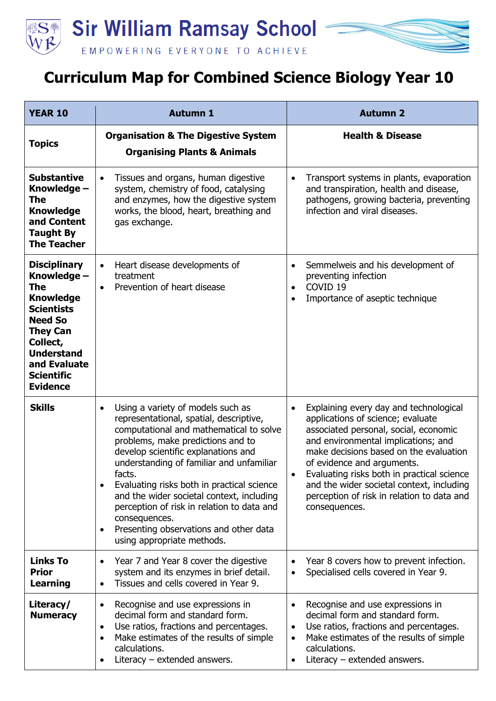

## **Curriculum Map for Combined Science Biology Year 10**

| <b>YEAR 10</b>                                                                                                                                                                                                   | <b>Autumn 1</b>                                                                                                                                                                                                                                                                                                                                                                                                                                                                                                                    | <b>Autumn 2</b>                                                                                                                                                                                                                                                                                                                                                                                            |
|------------------------------------------------------------------------------------------------------------------------------------------------------------------------------------------------------------------|------------------------------------------------------------------------------------------------------------------------------------------------------------------------------------------------------------------------------------------------------------------------------------------------------------------------------------------------------------------------------------------------------------------------------------------------------------------------------------------------------------------------------------|------------------------------------------------------------------------------------------------------------------------------------------------------------------------------------------------------------------------------------------------------------------------------------------------------------------------------------------------------------------------------------------------------------|
| <b>Topics</b>                                                                                                                                                                                                    | <b>Organisation &amp; The Digestive System</b><br><b>Organising Plants &amp; Animals</b>                                                                                                                                                                                                                                                                                                                                                                                                                                           | <b>Health &amp; Disease</b>                                                                                                                                                                                                                                                                                                                                                                                |
| <b>Substantive</b><br>Knowledge -<br>The<br><b>Knowledge</b><br>and Content<br><b>Taught By</b><br><b>The Teacher</b>                                                                                            | Tissues and organs, human digestive<br>$\bullet$<br>system, chemistry of food, catalysing<br>and enzymes, how the digestive system<br>works, the blood, heart, breathing and<br>gas exchange.                                                                                                                                                                                                                                                                                                                                      | Transport systems in plants, evaporation<br>$\bullet$<br>and transpiration, health and disease,<br>pathogens, growing bacteria, preventing<br>infection and viral diseases.                                                                                                                                                                                                                                |
| <b>Disciplinary</b><br>Knowledge -<br>The<br><b>Knowledge</b><br><b>Scientists</b><br><b>Need So</b><br><b>They Can</b><br>Collect,<br><b>Understand</b><br>and Evaluate<br><b>Scientific</b><br><b>Evidence</b> | Heart disease developments of<br>$\bullet$<br>treatment<br>Prevention of heart disease<br>$\bullet$                                                                                                                                                                                                                                                                                                                                                                                                                                | Semmelweis and his development of<br>$\bullet$<br>preventing infection<br>COVID <sub>19</sub><br>$\bullet$<br>Importance of aseptic technique<br>$\bullet$                                                                                                                                                                                                                                                 |
| <b>Skills</b>                                                                                                                                                                                                    | Using a variety of models such as<br>$\bullet$<br>representational, spatial, descriptive,<br>computational and mathematical to solve<br>problems, make predictions and to<br>develop scientific explanations and<br>understanding of familiar and unfamiliar<br>facts.<br>Evaluating risks both in practical science<br>$\bullet$<br>and the wider societal context, including<br>perception of risk in relation to data and<br>consequences.<br>Presenting observations and other data<br>$\bullet$<br>using appropriate methods. | Explaining every day and technological<br>$\bullet$<br>applications of science; evaluate<br>associated personal, social, economic<br>and environmental implications; and<br>make decisions based on the evaluation<br>of evidence and arguments.<br>Evaluating risks both in practical science<br>and the wider societal context, including<br>perception of risk in relation to data and<br>consequences. |
| <b>Links To</b><br><b>Prior</b><br><b>Learning</b>                                                                                                                                                               | Year 7 and Year 8 cover the digestive<br>$\bullet$<br>system and its enzymes in brief detail.<br>Tissues and cells covered in Year 9.                                                                                                                                                                                                                                                                                                                                                                                              | Year 8 covers how to prevent infection.<br>$\bullet$<br>Specialised cells covered in Year 9.<br>$\bullet$                                                                                                                                                                                                                                                                                                  |
| Literacy/<br><b>Numeracy</b>                                                                                                                                                                                     | Recognise and use expressions in<br>decimal form and standard form.<br>Use ratios, fractions and percentages.<br>$\bullet$<br>Make estimates of the results of simple<br>$\bullet$<br>calculations.<br>Literacy $-$ extended answers.                                                                                                                                                                                                                                                                                              | Recognise and use expressions in<br>٠<br>decimal form and standard form.<br>Use ratios, fractions and percentages.<br>$\bullet$<br>Make estimates of the results of simple<br>$\bullet$<br>calculations.<br>Literacy $-$ extended answers.<br>$\bullet$                                                                                                                                                    |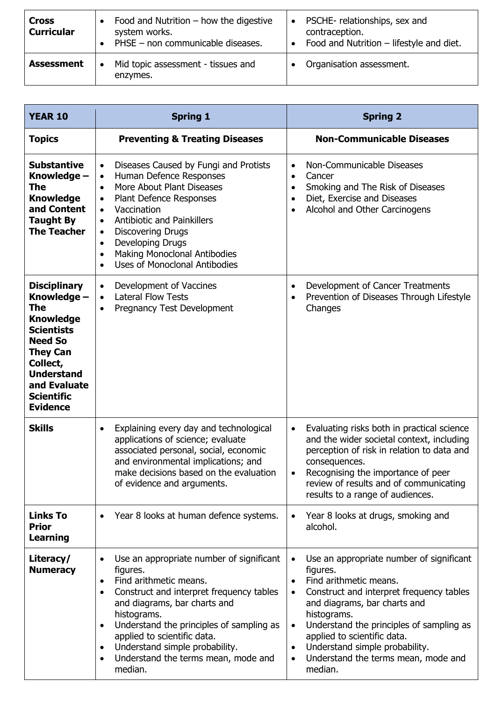| <b>Cross</b><br><b>Curricular</b> | Food and Nutrition $-$ how the digestive<br>system works.<br>PHSE - non communicable diseases. | PSCHE-relationships, sex and<br>$\bullet$<br>contraception.<br>Food and Nutrition - lifestyle and diet. |
|-----------------------------------|------------------------------------------------------------------------------------------------|---------------------------------------------------------------------------------------------------------|
| <b>Assessment</b>                 | Mid topic assessment - tissues and<br>enzymes.                                                 | Organisation assessment.                                                                                |

| <b>YEAR 10</b>                                                                                                                                                                                                   | <b>Spring 1</b>                                                                                                                                                                                                                                                                                                                                                                                                                               | <b>Spring 2</b>                                                                                                                                                                                                                                                                                                                                                                 |
|------------------------------------------------------------------------------------------------------------------------------------------------------------------------------------------------------------------|-----------------------------------------------------------------------------------------------------------------------------------------------------------------------------------------------------------------------------------------------------------------------------------------------------------------------------------------------------------------------------------------------------------------------------------------------|---------------------------------------------------------------------------------------------------------------------------------------------------------------------------------------------------------------------------------------------------------------------------------------------------------------------------------------------------------------------------------|
| <b>Topics</b>                                                                                                                                                                                                    | <b>Preventing &amp; Treating Diseases</b>                                                                                                                                                                                                                                                                                                                                                                                                     | <b>Non-Communicable Diseases</b>                                                                                                                                                                                                                                                                                                                                                |
| <b>Substantive</b><br>Knowledge –<br>The<br><b>Knowledge</b><br>and Content<br><b>Taught By</b><br><b>The Teacher</b>                                                                                            | Diseases Caused by Fungi and Protists<br>$\bullet$<br>Human Defence Responses<br>$\bullet$<br>More About Plant Diseases<br>$\bullet$<br>Plant Defence Responses<br>$\bullet$<br>Vaccination<br>$\bullet$<br><b>Antibiotic and Painkillers</b><br>$\bullet$<br><b>Discovering Drugs</b><br>$\bullet$<br>Developing Drugs<br>$\bullet$<br><b>Making Monoclonal Antibodies</b><br>$\bullet$<br><b>Uses of Monoclonal Antibodies</b><br>$\bullet$ | Non-Communicable Diseases<br>$\bullet$<br>Cancer<br>$\bullet$<br>Smoking and The Risk of Diseases<br>Diet, Exercise and Diseases<br>$\bullet$<br>Alcohol and Other Carcinogens<br>$\bullet$                                                                                                                                                                                     |
| <b>Disciplinary</b><br>Knowledge -<br>The<br><b>Knowledge</b><br><b>Scientists</b><br><b>Need So</b><br><b>They Can</b><br>Collect,<br><b>Understand</b><br>and Evaluate<br><b>Scientific</b><br><b>Evidence</b> | Development of Vaccines<br>$\bullet$<br><b>Lateral Flow Tests</b><br>$\bullet$<br>Pregnancy Test Development<br>$\bullet$                                                                                                                                                                                                                                                                                                                     | Development of Cancer Treatments<br>$\bullet$<br>Prevention of Diseases Through Lifestyle<br>Changes                                                                                                                                                                                                                                                                            |
| <b>Skills</b>                                                                                                                                                                                                    | Explaining every day and technological<br>$\bullet$<br>applications of science; evaluate<br>associated personal, social, economic<br>and environmental implications; and<br>make decisions based on the evaluation<br>of evidence and arguments.                                                                                                                                                                                              | Evaluating risks both in practical science<br>$\bullet$<br>and the wider societal context, including<br>perception of risk in relation to data and<br>consequences.<br>Recognising the importance of peer<br>review of results and of communicating<br>results to a range of audiences.                                                                                         |
| <b>Links To</b><br><b>Prior</b><br><b>Learning</b>                                                                                                                                                               | Year 8 looks at human defence systems.                                                                                                                                                                                                                                                                                                                                                                                                        | Year 8 looks at drugs, smoking and<br>alcohol.                                                                                                                                                                                                                                                                                                                                  |
| Literacy/<br><b>Numeracy</b>                                                                                                                                                                                     | Use an appropriate number of significant<br>figures.<br>Find arithmetic means.<br>Construct and interpret frequency tables<br>and diagrams, bar charts and<br>histograms.<br>Understand the principles of sampling as<br>applied to scientific data.<br>Understand simple probability.<br>Understand the terms mean, mode and<br>median.                                                                                                      | Use an appropriate number of significant<br>$\bullet$<br>figures.<br>Find arithmetic means.<br>Construct and interpret frequency tables<br>and diagrams, bar charts and<br>histograms.<br>Understand the principles of sampling as<br>$\bullet$<br>applied to scientific data.<br>Understand simple probability.<br>Understand the terms mean, mode and<br>$\bullet$<br>median. |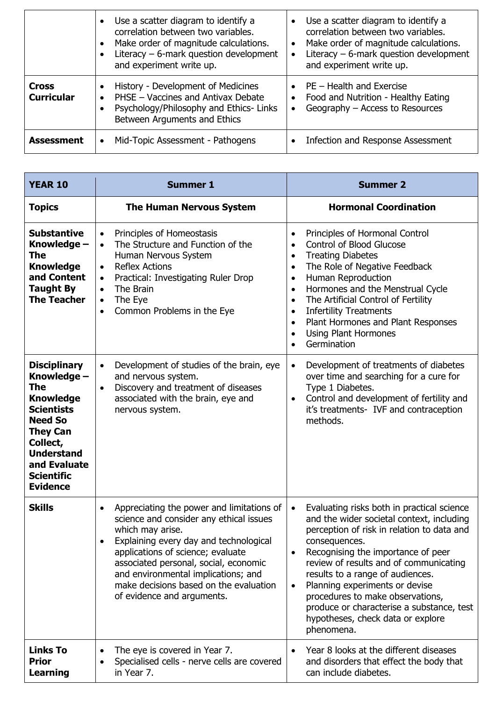|                                   | Use a scatter diagram to identify a<br>correlation between two variables.<br>Make order of magnitude calculations.<br>Literacy $-$ 6-mark question development<br>and experiment write up. | Use a scatter diagram to identify a<br>correlation between two variables.<br>Make order of magnitude calculations.<br>$\bullet$<br>Literacy $-$ 6-mark question development<br>and experiment write up. |
|-----------------------------------|--------------------------------------------------------------------------------------------------------------------------------------------------------------------------------------------|---------------------------------------------------------------------------------------------------------------------------------------------------------------------------------------------------------|
| <b>Cross</b><br><b>Curricular</b> | History - Development of Medicines<br>PHSE - Vaccines and Antivax Debate<br>Psychology/Philosophy and Ethics-Links<br>Between Arguments and Ethics                                         | $\bullet$ PE – Health and Exercise<br>Food and Nutrition - Healthy Eating<br>$\bullet$<br>Geography - Access to Resources<br>$\bullet$                                                                  |
| <b>Assessment</b>                 | Mid-Topic Assessment - Pathogens<br>$\bullet$                                                                                                                                              | Infection and Response Assessment                                                                                                                                                                       |

| <b>YEAR 10</b>                                                                                                                                                                                                   | <b>Summer 1</b>                                                                                                                                                                                                                                                                                                                                                           | <b>Summer 2</b>                                                                                                                                                                                                                                                                                                                                                                                                                                                                                     |
|------------------------------------------------------------------------------------------------------------------------------------------------------------------------------------------------------------------|---------------------------------------------------------------------------------------------------------------------------------------------------------------------------------------------------------------------------------------------------------------------------------------------------------------------------------------------------------------------------|-----------------------------------------------------------------------------------------------------------------------------------------------------------------------------------------------------------------------------------------------------------------------------------------------------------------------------------------------------------------------------------------------------------------------------------------------------------------------------------------------------|
| <b>Topics</b>                                                                                                                                                                                                    | <b>The Human Nervous System</b>                                                                                                                                                                                                                                                                                                                                           | <b>Hormonal Coordination</b>                                                                                                                                                                                                                                                                                                                                                                                                                                                                        |
| <b>Substantive</b><br>Knowledge -<br>The<br><b>Knowledge</b><br>and Content<br><b>Taught By</b><br><b>The Teacher</b>                                                                                            | Principles of Homeostasis<br>$\bullet$<br>The Structure and Function of the<br>$\bullet$<br>Human Nervous System<br><b>Reflex Actions</b><br>$\bullet$<br>Practical: Investigating Ruler Drop<br>$\bullet$<br>The Brain<br>$\bullet$<br>The Eye<br>$\bullet$<br>Common Problems in the Eye<br>$\bullet$                                                                   | Principles of Hormonal Control<br>$\bullet$<br><b>Control of Blood Glucose</b><br>$\bullet$<br><b>Treating Diabetes</b><br>$\bullet$<br>The Role of Negative Feedback<br>$\bullet$<br>Human Reproduction<br>$\bullet$<br>Hormones and the Menstrual Cycle<br>$\bullet$<br>The Artificial Control of Fertility<br>$\bullet$<br><b>Infertility Treatments</b><br>$\bullet$<br>Plant Hormones and Plant Responses<br>$\bullet$<br><b>Using Plant Hormones</b><br>$\bullet$<br>Germination<br>$\bullet$ |
| <b>Disciplinary</b><br>Knowledge -<br>The<br><b>Knowledge</b><br><b>Scientists</b><br><b>Need So</b><br><b>They Can</b><br>Collect,<br><b>Understand</b><br>and Evaluate<br><b>Scientific</b><br><b>Evidence</b> | Development of studies of the brain, eye<br>$\bullet$<br>and nervous system.<br>Discovery and treatment of diseases<br>$\bullet$<br>associated with the brain, eye and<br>nervous system.                                                                                                                                                                                 | Development of treatments of diabetes<br>$\bullet$<br>over time and searching for a cure for<br>Type 1 Diabetes.<br>Control and development of fertility and<br>٠<br>it's treatments- IVF and contraception<br>methods.                                                                                                                                                                                                                                                                             |
| <b>Skills</b>                                                                                                                                                                                                    | Appreciating the power and limitations of<br>$\bullet$<br>science and consider any ethical issues<br>which may arise.<br>Explaining every day and technological<br>$\bullet$<br>applications of science; evaluate<br>associated personal, social, economic<br>and environmental implications; and<br>make decisions based on the evaluation<br>of evidence and arguments. | Evaluating risks both in practical science<br>$\bullet$<br>and the wider societal context, including<br>perception of risk in relation to data and<br>consequences.<br>Recognising the importance of peer<br>review of results and of communicating<br>results to a range of audiences.<br>Planning experiments or devise<br>$\bullet$<br>procedures to make observations,<br>produce or characterise a substance, test<br>hypotheses, check data or explore<br>phenomena.                          |
| <b>Links To</b><br><b>Prior</b><br>Learning                                                                                                                                                                      | The eye is covered in Year 7.<br>Specialised cells - nerve cells are covered<br>in Year 7.                                                                                                                                                                                                                                                                                | Year 8 looks at the different diseases<br>and disorders that effect the body that<br>can include diabetes.                                                                                                                                                                                                                                                                                                                                                                                          |